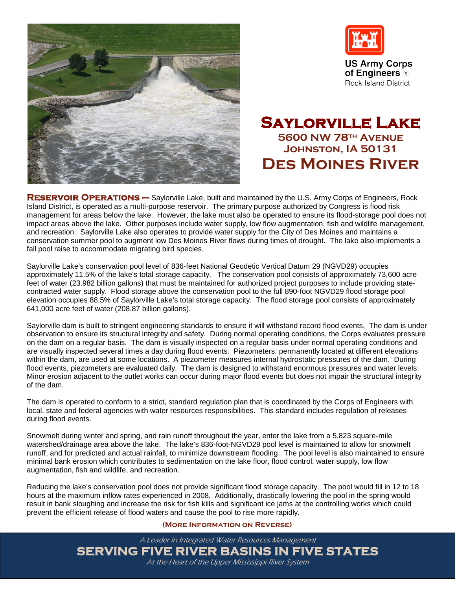



**US Army Corps** of Engineers ® **Rock Island District** 

## **Saylorville Lake 5600 NW 78th Avenue Johnston, IA 50131 Des Moines River**

**[Reservoir Operations –](http://www.mvr.usace.army.mil/coralville/default.htm)** Saylorville Lake, built and maintained by the U.S. Army Corps of Engineers, Rock Island District, is operated as a multi-purpose reservoir. The primary purpose authorized by Congress is flood risk management for areas below the lake. However, the lake must also be operated to ensure its flood-storage pool does not impact areas above the lake. Other purposes include water supply, low flow augmentation, fish and wildlife management, and recreation. Saylorville Lake also operates to provide water supply for the City of Des Moines and maintains a conservation summer pool to augment low Des Moines River flows during times of drought. The lake also implements a fall pool raise to accommodate migrating bird species.

Saylorville Lake's conservation pool level of 836-feet National Geodetic Vertical Datum 29 (NGVD29) occupies approximately 11.5% of the lake's total storage capacity. The conservation pool consists of approximately 73,600 acre feet of water (23.982 billion gallons) that must be maintained for authorized project purposes to include providing statecontracted water supply. Flood storage above the conservation pool to the full 890-foot NGVD29 flood storage pool elevation occupies 88.5% of Saylorville Lake's total storage capacity. The flood storage pool consists of approximately 641,000 acre feet of water (208.87 billion gallons).

Saylorville dam is built to stringent engineering standards to ensure it will withstand record flood events. The dam is under observation to ensure its structural integrity and safety. During normal operating conditions, the Corps evaluates pressure on the dam on a regular basis. The dam is visually inspected on a regular basis under normal operating conditions and are visually inspected several times a day during flood events. Piezometers, permanently located at different elevations within the dam, are used at some locations. A piezometer measures internal hydrostatic pressures of the dam. During flood events, piezometers are evaluated daily. The dam is designed to withstand enormous pressures and water levels. Minor erosion adjacent to the outlet works can occur during major flood events but does not impair the structural integrity of the dam.

The dam is operated to conform to a strict, standard regulation plan that is coordinated by the Corps of Engineers with local, state and federal agencies with water resources responsibilities. This standard includes regulation of releases during flood events.

Snowmelt during winter and spring, and rain runoff throughout the year, enter the lake from a 5,823 square-mile watershed/drainage area above the lake. The lake's 836-foot-NGVD29 pool level is maintained to allow for snowmelt runoff, and for predicted and actual rainfall, to minimize downstream flooding. The pool level is also maintained to ensure minimal bank erosion which contributes to sedimentation on the lake floor, flood control, water supply, low flow augmentation, fish and wildlife, and recreation.

Reducing the lake's conservation pool does not provide significant flood storage capacity. The pool would fill in 12 to 18 hours at the maximum inflow rates experienced in 2008. Additionally, drastically lowering the pool in the spring would result in bank sloughing and increase the risk for fish kills and significant ice jams at the controlling works which could prevent the efficient release of flood waters and cause the pool to rise more rapidly.

## **(More Information on Reverse)**

A Leader in Integrated Water Resources Management **SERVING FIVE RIVER BASINS IN FIVE STATES** At the Heart of the Upper Mississippi River System